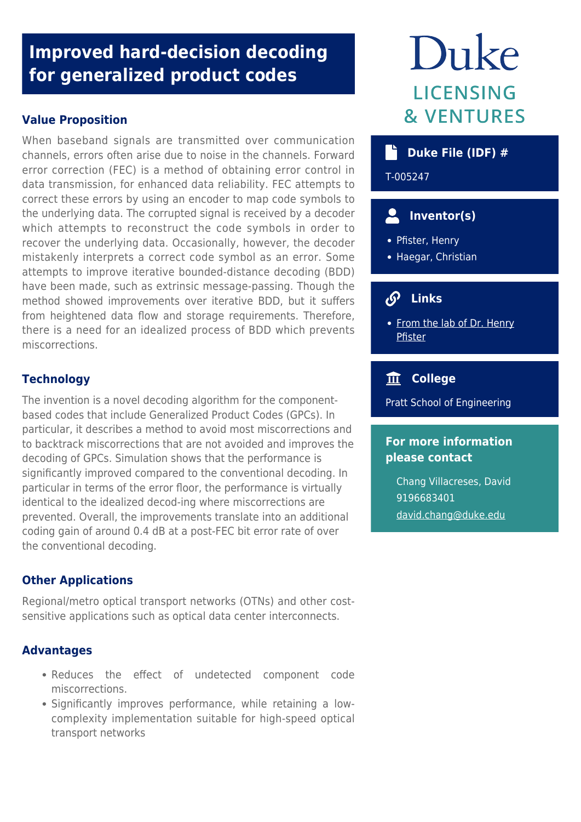## **Improved hard-decision decoding for generalized product codes**

## **Value Proposition**

When baseband signals are transmitted over communication channels, errors often arise due to noise in the channels. Forward error correction (FEC) is a method of obtaining error control in data transmission, for enhanced data reliability. FEC attempts to correct these errors by using an encoder to map code symbols to the underlying data. The corrupted signal is received by a decoder which attempts to reconstruct the code symbols in order to recover the underlying data. Occasionally, however, the decoder mistakenly interprets a correct code symbol as an error. Some attempts to improve iterative bounded-distance decoding (BDD) have been made, such as extrinsic message-passing. Though the method showed improvements over iterative BDD, but it suffers from heightened data flow and storage requirements. Therefore, there is a need for an idealized process of BDD which prevents miscorrections.

## **Technology**

The invention is a novel decoding algorithm for the componentbased codes that include Generalized Product Codes (GPCs). In particular, it describes a method to avoid most miscorrections and to backtrack miscorrections that are not avoided and improves the decoding of GPCs. Simulation shows that the performance is significantly improved compared to the conventional decoding. In particular in terms of the error floor, the performance is virtually identical to the idealized decod-ing where miscorrections are prevented. Overall, the improvements translate into an additional coding gain of around 0.4 dB at a post-FEC bit error rate of over the conventional decoding.

## **Other Applications**

Regional/metro optical transport networks (OTNs) and other costsensitive applications such as optical data center interconnects.

## **Advantages**

- Reduces the effect of undetected component code miscorrections.
- Significantly improves performance, while retaining a lowcomplexity implementation suitable for high-speed optical transport networks

# Duke **LICENSING & VENTURES**

## **Duke File (IDF) #**

T-005247

## **Inventor(s)**

- Pfister, Henry
- Haegar, Christian

## **Links**

• [From the lab of Dr. Henry](http://pfister.ee.duke.edu/) [Pfister](http://pfister.ee.duke.edu/)

## **College**

Pratt School of Engineering

## **For more information please contact**

Chang Villacreses, David 9196683401 [david.chang@duke.edu](mailto:david.chang@duke.edu)